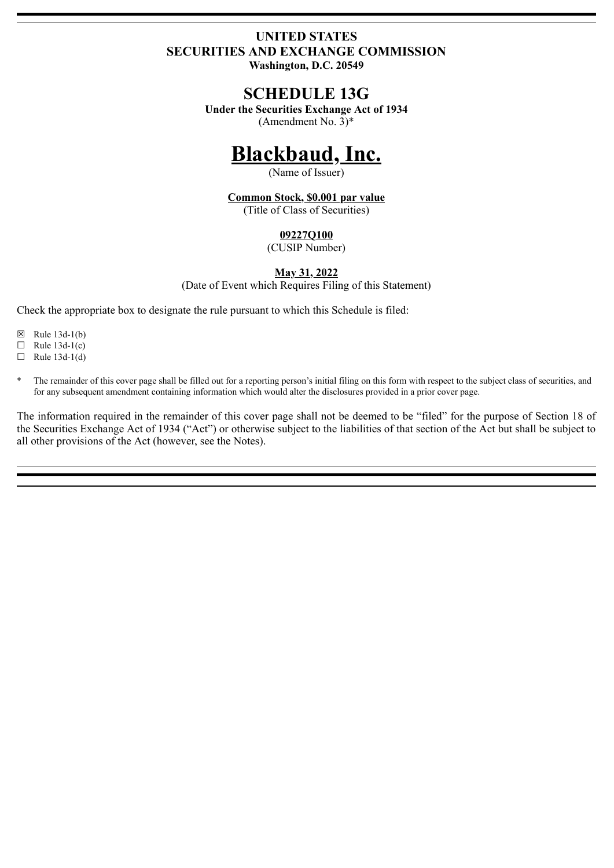# **UNITED STATES SECURITIES AND EXCHANGE COMMISSION**

**Washington, D.C. 20549**

# **SCHEDULE 13G**

**Under the Securities Exchange Act of 1934** (Amendment No.  $3$ <sup>\*</sup>

# **Blackbaud, Inc.**

(Name of Issuer)

**Common Stock, \$0.001 par value** (Title of Class of Securities)

## **09227Q100**

(CUSIP Number)

## **May 31, 2022**

(Date of Event which Requires Filing of this Statement)

Check the appropriate box to designate the rule pursuant to which this Schedule is filed:

- $\boxtimes$  Rule 13d-1(b)
- $\Box$  Rule 13d-1(c)
- $\Box$  Rule 13d-1(d)
- The remainder of this cover page shall be filled out for a reporting person's initial filing on this form with respect to the subject class of securities, and for any subsequent amendment containing information which would alter the disclosures provided in a prior cover page.

The information required in the remainder of this cover page shall not be deemed to be "filed" for the purpose of Section 18 of the Securities Exchange Act of 1934 ("Act") or otherwise subject to the liabilities of that section of the Act but shall be subject to all other provisions of the Act (however, see the Notes).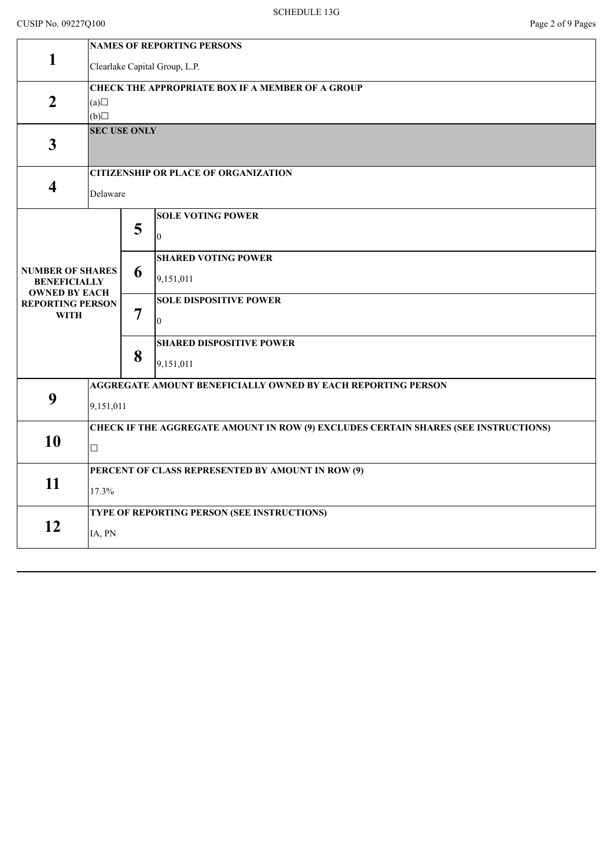## CUSIP No. 09227Q100 Page 2 of 9 Pages

|                                             | <b>NAMES OF REPORTING PERSONS</b>                                                   |   |                                 |  |  |  |
|---------------------------------------------|-------------------------------------------------------------------------------------|---|---------------------------------|--|--|--|
| $\mathbf{1}$                                | Clearlake Capital Group, L.P.                                                       |   |                                 |  |  |  |
|                                             | <b>CHECK THE APPROPRIATE BOX IF A MEMBER OF A GROUP</b>                             |   |                                 |  |  |  |
| $\overline{2}$                              | (a)                                                                                 |   |                                 |  |  |  |
|                                             | (b)                                                                                 |   |                                 |  |  |  |
| $\mathbf{3}$                                | <b>SEC USE ONLY</b>                                                                 |   |                                 |  |  |  |
|                                             |                                                                                     |   |                                 |  |  |  |
|                                             | <b>CITIZENSHIP OR PLACE OF ORGANIZATION</b>                                         |   |                                 |  |  |  |
| $\overline{\mathbf{4}}$                     | Delaware                                                                            |   |                                 |  |  |  |
|                                             |                                                                                     | 5 | <b>SOLE VOTING POWER</b>        |  |  |  |
|                                             |                                                                                     |   | $\theta$                        |  |  |  |
|                                             |                                                                                     |   | <b>SHARED VOTING POWER</b>      |  |  |  |
| <b>NUMBER OF SHARES</b>                     |                                                                                     | 6 | 9,151,011                       |  |  |  |
| <b>BENEFICIALLY</b><br><b>OWNED BY EACH</b> |                                                                                     |   |                                 |  |  |  |
| <b>REPORTING PERSON</b><br><b>WITH</b>      |                                                                                     | 7 | <b>SOLE DISPOSITIVE POWER</b>   |  |  |  |
|                                             |                                                                                     |   | $\theta$                        |  |  |  |
|                                             |                                                                                     | 8 | <b>SHARED DISPOSITIVE POWER</b> |  |  |  |
|                                             |                                                                                     |   | 9,151,011                       |  |  |  |
| 9                                           | AGGREGATE AMOUNT BENEFICIALLY OWNED BY EACH REPORTING PERSON                        |   |                                 |  |  |  |
|                                             | 9,151,011                                                                           |   |                                 |  |  |  |
|                                             | CHECK IF THE AGGREGATE AMOUNT IN ROW (9) EXCLUDES CERTAIN SHARES (SEE INSTRUCTIONS) |   |                                 |  |  |  |
| 10                                          | $\Box$                                                                              |   |                                 |  |  |  |
|                                             | PERCENT OF CLASS REPRESENTED BY AMOUNT IN ROW (9)                                   |   |                                 |  |  |  |
| 11                                          |                                                                                     |   |                                 |  |  |  |
|                                             | 17.3%                                                                               |   |                                 |  |  |  |
| 12                                          | TYPE OF REPORTING PERSON (SEE INSTRUCTIONS)                                         |   |                                 |  |  |  |
|                                             | IA, PN                                                                              |   |                                 |  |  |  |
|                                             |                                                                                     |   |                                 |  |  |  |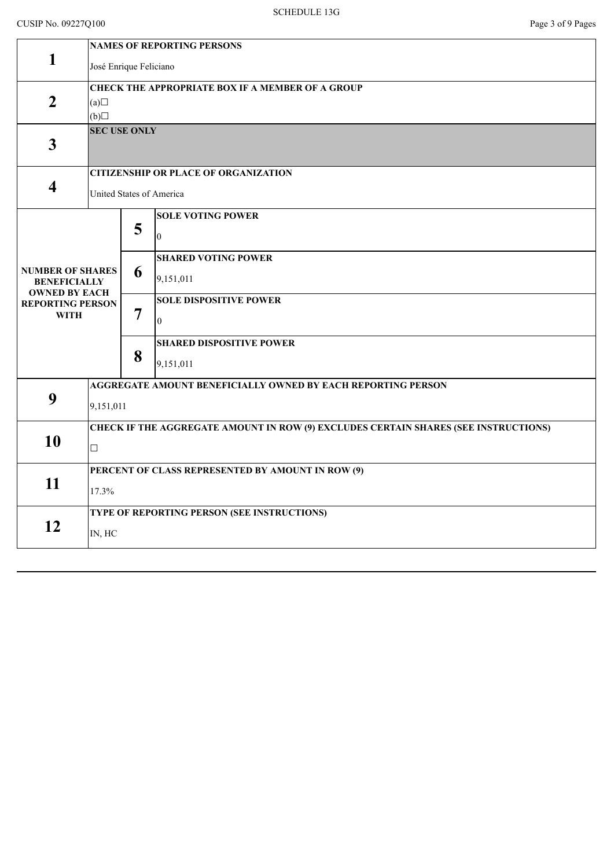## CUSIP No. 09227Q100 Page 3 of 9 Pages

| <b>CITIZENSHIP OR PLACE OF ORGANIZATION</b>                                         |  |  |  |  |  |
|-------------------------------------------------------------------------------------|--|--|--|--|--|
| United States of America                                                            |  |  |  |  |  |
|                                                                                     |  |  |  |  |  |
|                                                                                     |  |  |  |  |  |
|                                                                                     |  |  |  |  |  |
|                                                                                     |  |  |  |  |  |
|                                                                                     |  |  |  |  |  |
|                                                                                     |  |  |  |  |  |
|                                                                                     |  |  |  |  |  |
|                                                                                     |  |  |  |  |  |
| AGGREGATE AMOUNT BENEFICIALLY OWNED BY EACH REPORTING PERSON                        |  |  |  |  |  |
| 9,151,011                                                                           |  |  |  |  |  |
| CHECK IF THE AGGREGATE AMOUNT IN ROW (9) EXCLUDES CERTAIN SHARES (SEE INSTRUCTIONS) |  |  |  |  |  |
| $\Box$                                                                              |  |  |  |  |  |
| PERCENT OF CLASS REPRESENTED BY AMOUNT IN ROW (9)                                   |  |  |  |  |  |
| 17.3%                                                                               |  |  |  |  |  |
| TYPE OF REPORTING PERSON (SEE INSTRUCTIONS)                                         |  |  |  |  |  |
| IN, HC                                                                              |  |  |  |  |  |
|                                                                                     |  |  |  |  |  |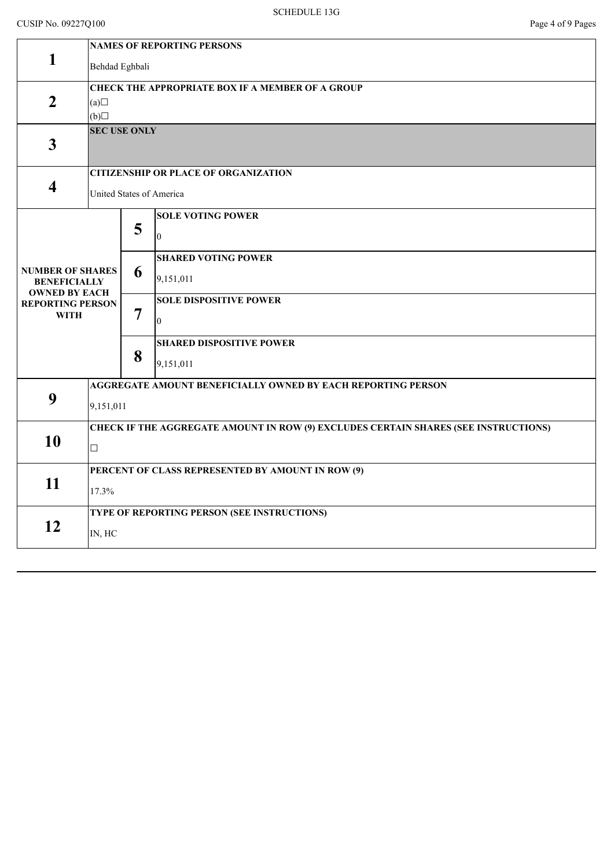|                                             | <b>NAMES OF REPORTING PERSONS</b>                                                   |   |                                 |  |  |  |  |
|---------------------------------------------|-------------------------------------------------------------------------------------|---|---------------------------------|--|--|--|--|
| $\mathbf{1}$                                | Behdad Eghbali                                                                      |   |                                 |  |  |  |  |
|                                             | <b>CHECK THE APPROPRIATE BOX IF A MEMBER OF A GROUP</b>                             |   |                                 |  |  |  |  |
| $\overline{2}$                              | (a)                                                                                 |   |                                 |  |  |  |  |
|                                             | (b)                                                                                 |   |                                 |  |  |  |  |
|                                             | <b>SEC USE ONLY</b>                                                                 |   |                                 |  |  |  |  |
| $\overline{\mathbf{3}}$                     |                                                                                     |   |                                 |  |  |  |  |
|                                             | <b>CITIZENSHIP OR PLACE OF ORGANIZATION</b>                                         |   |                                 |  |  |  |  |
| $\overline{\mathbf{4}}$                     | United States of America                                                            |   |                                 |  |  |  |  |
|                                             |                                                                                     |   | <b>SOLE VOTING POWER</b>        |  |  |  |  |
|                                             |                                                                                     | 5 | 0                               |  |  |  |  |
|                                             |                                                                                     |   |                                 |  |  |  |  |
|                                             |                                                                                     |   | <b>SHARED VOTING POWER</b>      |  |  |  |  |
| <b>NUMBER OF SHARES</b>                     |                                                                                     | 6 |                                 |  |  |  |  |
| <b>BENEFICIALLY</b><br><b>OWNED BY EACH</b> |                                                                                     |   | 9,151,011                       |  |  |  |  |
| <b>REPORTING PERSON</b>                     |                                                                                     |   | <b>SOLE DISPOSITIVE POWER</b>   |  |  |  |  |
| <b>WITH</b>                                 |                                                                                     | 7 | $\overline{0}$                  |  |  |  |  |
|                                             |                                                                                     |   |                                 |  |  |  |  |
|                                             |                                                                                     |   | <b>SHARED DISPOSITIVE POWER</b> |  |  |  |  |
|                                             |                                                                                     | 8 | 9,151,011                       |  |  |  |  |
|                                             |                                                                                     |   |                                 |  |  |  |  |
| 9                                           | AGGREGATE AMOUNT BENEFICIALLY OWNED BY EACH REPORTING PERSON                        |   |                                 |  |  |  |  |
|                                             | 9,151,011                                                                           |   |                                 |  |  |  |  |
|                                             |                                                                                     |   |                                 |  |  |  |  |
| 10                                          | CHECK IF THE AGGREGATE AMOUNT IN ROW (9) EXCLUDES CERTAIN SHARES (SEE INSTRUCTIONS) |   |                                 |  |  |  |  |
|                                             | $\Box$                                                                              |   |                                 |  |  |  |  |
|                                             | PERCENT OF CLASS REPRESENTED BY AMOUNT IN ROW (9)                                   |   |                                 |  |  |  |  |
| 11                                          |                                                                                     |   |                                 |  |  |  |  |
|                                             | 17.3%                                                                               |   |                                 |  |  |  |  |
|                                             | TYPE OF REPORTING PERSON (SEE INSTRUCTIONS)                                         |   |                                 |  |  |  |  |
| 12                                          |                                                                                     |   |                                 |  |  |  |  |
|                                             | IN, HC                                                                              |   |                                 |  |  |  |  |
|                                             |                                                                                     |   |                                 |  |  |  |  |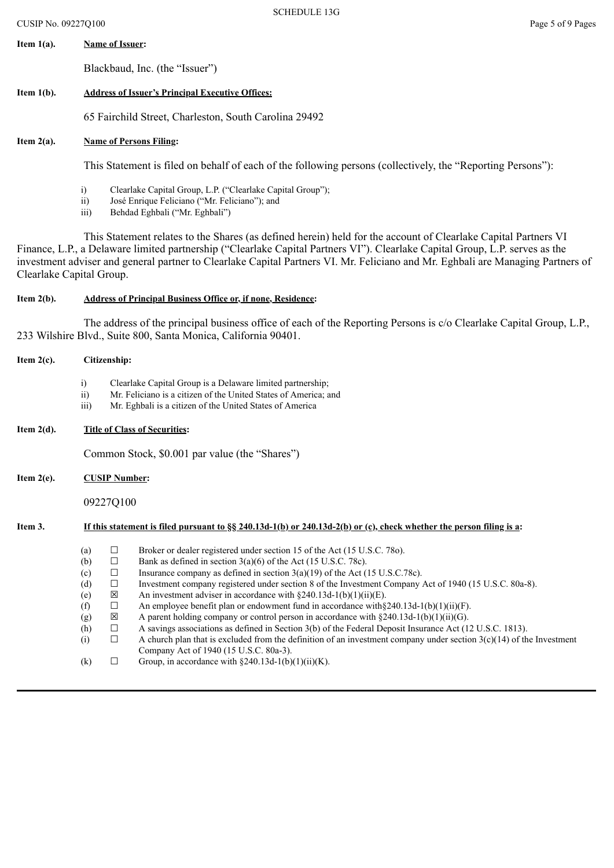# **Item 1(a). Name of Issuer:**

Blackbaud, Inc. (the "Issuer")

#### **Item 1(b). Address of Issuer's Principal Executive Offices:**

65 Fairchild Street, Charleston, South Carolina 29492

#### **Item 2(a). Name of Persons Filing:**

This Statement is filed on behalf of each of the following persons (collectively, the "Reporting Persons"):

- i) Clearlake Capital Group, L.P. ("Clearlake Capital Group");<br>ii) José Enrique Feliciano ("Mr. Feliciano"): and
- José Enrique Feliciano ("Mr. Feliciano"); and
- iii) Behdad Eghbali ("Mr. Eghbali")

This Statement relates to the Shares (as defined herein) held for the account of Clearlake Capital Partners VI Finance, L.P., a Delaware limited partnership ("Clearlake Capital Partners VI"). Clearlake Capital Group, L.P. serves as the investment adviser and general partner to Clearlake Capital Partners VI. Mr. Feliciano and Mr. Eghbali are Managing Partners of Clearlake Capital Group.

#### **Item 2(b). Address of Principal Business Office or, if none, Residence:**

The address of the principal business office of each of the Reporting Persons is c/o Clearlake Capital Group, L.P., 233 Wilshire Blvd., Suite 800, Santa Monica, California 90401.

| Item $2(c)$ . | Citizenship:                                                                                                           |                                                                              |                                                                                                                                                                                                                                                                                                                                                                                                                                                                                                                                                                                                                                                                                                                                                                                                                                                                                                                                                         |  |  |  |
|---------------|------------------------------------------------------------------------------------------------------------------------|------------------------------------------------------------------------------|---------------------------------------------------------------------------------------------------------------------------------------------------------------------------------------------------------------------------------------------------------------------------------------------------------------------------------------------------------------------------------------------------------------------------------------------------------------------------------------------------------------------------------------------------------------------------------------------------------------------------------------------------------------------------------------------------------------------------------------------------------------------------------------------------------------------------------------------------------------------------------------------------------------------------------------------------------|--|--|--|
|               | i)<br>$\overline{ii}$<br>$\overline{iii}$                                                                              |                                                                              | Clearlake Capital Group is a Delaware limited partnership;<br>Mr. Feliciano is a citizen of the United States of America; and<br>Mr. Eghbali is a citizen of the United States of America                                                                                                                                                                                                                                                                                                                                                                                                                                                                                                                                                                                                                                                                                                                                                               |  |  |  |
| Item $2(d)$ . | <b>Title of Class of Securities:</b>                                                                                   |                                                                              |                                                                                                                                                                                                                                                                                                                                                                                                                                                                                                                                                                                                                                                                                                                                                                                                                                                                                                                                                         |  |  |  |
|               | Common Stock, \$0.001 par value (the "Shares")                                                                         |                                                                              |                                                                                                                                                                                                                                                                                                                                                                                                                                                                                                                                                                                                                                                                                                                                                                                                                                                                                                                                                         |  |  |  |
| Item $2(e)$ . | <b>CUSIP Number:</b>                                                                                                   |                                                                              |                                                                                                                                                                                                                                                                                                                                                                                                                                                                                                                                                                                                                                                                                                                                                                                                                                                                                                                                                         |  |  |  |
|               | 09227Q100                                                                                                              |                                                                              |                                                                                                                                                                                                                                                                                                                                                                                                                                                                                                                                                                                                                                                                                                                                                                                                                                                                                                                                                         |  |  |  |
| Item 3.       | If this statement is filed pursuant to $\S$ 240.13d-1(b) or 240.13d-2(b) or (c), check whether the person filing is a: |                                                                              |                                                                                                                                                                                                                                                                                                                                                                                                                                                                                                                                                                                                                                                                                                                                                                                                                                                                                                                                                         |  |  |  |
|               | (a)<br>(b)<br>(c)<br>(d)<br>(e)<br>(f)<br>(g)<br>(h)<br>(i)<br>(k)                                                     | $\Box$<br>$\Box$<br>□<br>$\Box$<br>区<br>$\Box$<br>区<br>$\Box$<br>$\Box$<br>□ | Broker or dealer registered under section 15 of the Act (15 U.S.C. 780).<br>Bank as defined in section $3(a)(6)$ of the Act (15 U.S.C. 78c).<br>Insurance company as defined in section $3(a)(19)$ of the Act (15 U.S.C.78c).<br>Investment company registered under section 8 of the Investment Company Act of 1940 (15 U.S.C. 80a-8).<br>An investment adviser in accordance with $\S 240.13d-1(b)(1)(ii)(E)$ .<br>An employee benefit plan or endowment fund in accordance with $240.13d-1(b)(1)(ii)(F)$ .<br>A parent holding company or control person in accordance with $\S 240.13d-1(b)(1)(ii)(G)$ .<br>A savings associations as defined in Section 3(b) of the Federal Deposit Insurance Act (12 U.S.C. 1813).<br>A church plan that is excluded from the definition of an investment company under section $3(c)(14)$ of the Investment<br>Company Act of 1940 (15 U.S.C. 80a-3).<br>Group, in accordance with $\S 240.13d-1(b)(1)(ii)(K)$ . |  |  |  |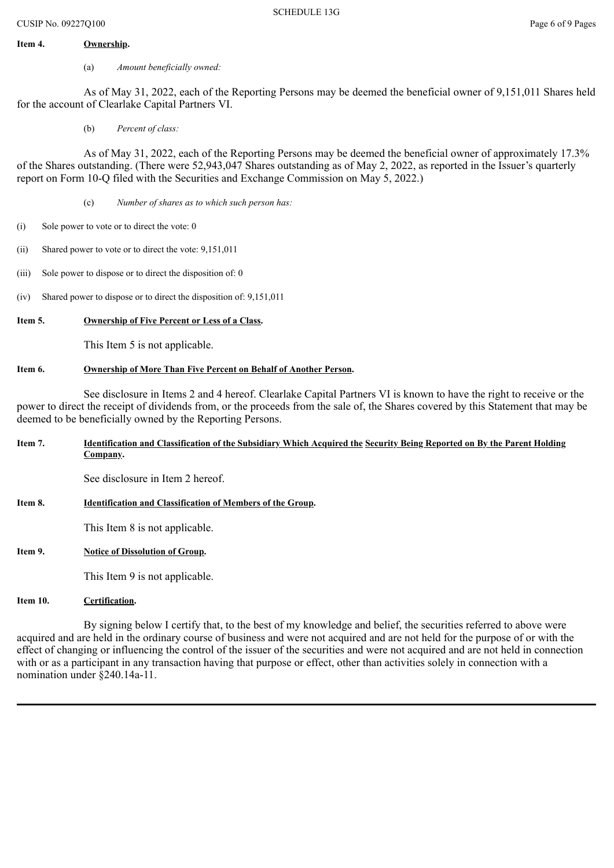#### **Item 4. Ownership.**

(a) *Amount beneficially owned:*

As of May 31, 2022, each of the Reporting Persons may be deemed the beneficial owner of 9,151,011 Shares held for the account of Clearlake Capital Partners VI.

(b) *Percent of class:*

As of May 31, 2022, each of the Reporting Persons may be deemed the beneficial owner of approximately 17.3% of the Shares outstanding. (There were 52,943,047 Shares outstanding as of May 2, 2022, as reported in the Issuer's quarterly report on Form 10-Q filed with the Securities and Exchange Commission on May 5, 2022.)

- (c) *Number of shares as to which such person has:*
- (i) Sole power to vote or to direct the vote: 0
- (ii) Shared power to vote or to direct the vote: 9,151,011
- (iii) Sole power to dispose or to direct the disposition of: 0
- (iv) Shared power to dispose or to direct the disposition of: 9,151,011

#### **Item 5. Ownership of Five Percent or Less of a Class.**

This Item 5 is not applicable.

#### **Item 6. Ownership of More Than Five Percent on Behalf of Another Person.**

See disclosure in Items 2 and 4 hereof. Clearlake Capital Partners VI is known to have the right to receive or the power to direct the receipt of dividends from, or the proceeds from the sale of, the Shares covered by this Statement that may be deemed to be beneficially owned by the Reporting Persons.

Item 7. Identification and Classification of the Subsidiary Which Acquired the Security Being Reported on By the Parent Holding **Company.**

See disclosure in Item 2 hereof.

**Item 8. Identification and Classification of Members of the Group.**

This Item 8 is not applicable.

**Item 9. Notice of Dissolution of Group.**

This Item 9 is not applicable.

**Item 10. Certification.**

By signing below I certify that, to the best of my knowledge and belief, the securities referred to above were acquired and are held in the ordinary course of business and were not acquired and are not held for the purpose of or with the effect of changing or influencing the control of the issuer of the securities and were not acquired and are not held in connection with or as a participant in any transaction having that purpose or effect, other than activities solely in connection with a nomination under §240.14a-11.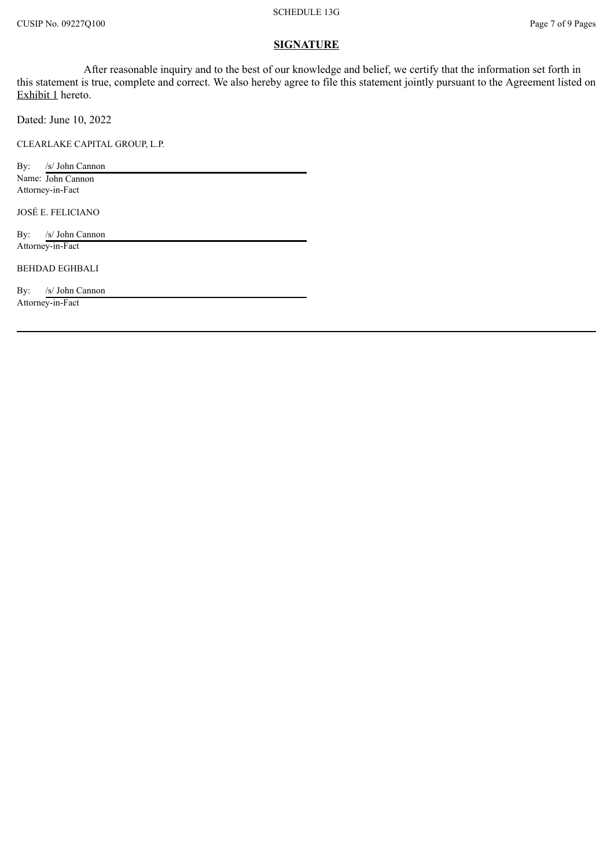#### **SIGNATURE**

After reasonable inquiry and to the best of our knowledge and belief, we certify that the information set forth in this statement is true, complete and correct. We also hereby agree to file this statement jointly pursuant to the Agreement listed on Exhibit 1 hereto.

Dated: June 10, 2022

CLEARLAKE CAPITAL GROUP, L.P.

By: /s/ John Cannon Name: John Cannon Attorney-in-Fact

JOSÉ E. FELICIANO

By: /s/ John Cannon Attorney-in-Fact

BEHDAD EGHBALI

By: /s/ John Cannon

Attorney-in-Fact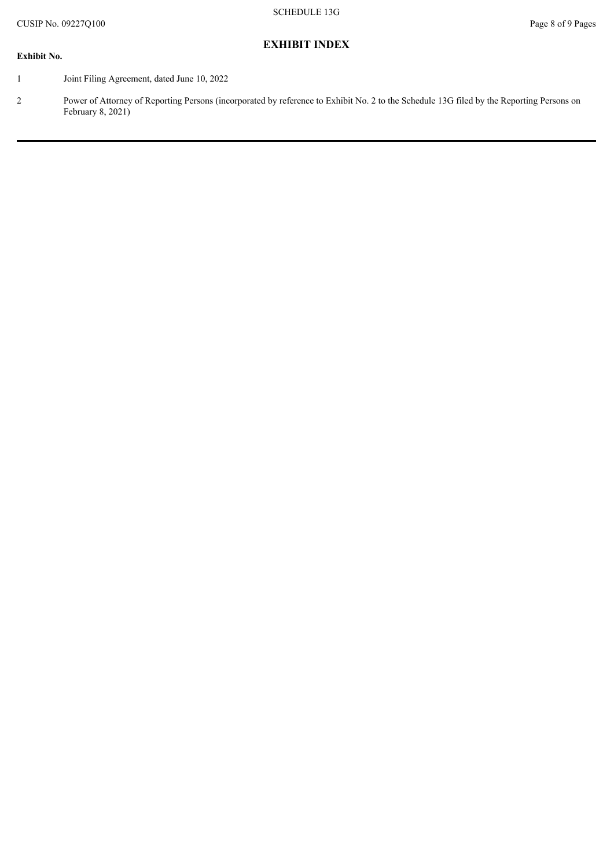**EXHIBIT INDEX**

#### **Exhibit No.**

- 1 Joint Filing Agreement, dated June 10, 2022
- 2 Power of Attorney of Reporting Persons (incorporated by reference to Exhibit No. 2 to the Schedule 13G filed by the Reporting Persons on February 8, 2021)